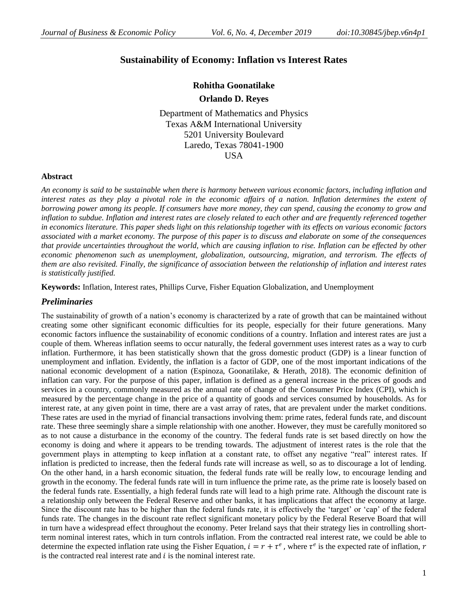# **Sustainability of Economy: Inflation vs Interest Rates**

# **Rohitha Goonatilake**

**Orlando D. Reyes**

Department of Mathematics and Physics Texas A&M International University 5201 University Boulevard Laredo, Texas 78041-1900 **USA** 

### **Abstract**

*An economy is said to be sustainable when there is harmony between various economic factors, including inflation and*  interest rates as they play a pivotal role in the economic affairs of a nation. Inflation determines the extent of *borrowing power among its people. If consumers have more money, they can spend, causing the economy to grow and inflation to subdue. Inflation and interest rates are closely related to each other and are frequently referenced together in economics literature. This paper sheds light on this relationship together with its effects on various economic factors associated with a market economy. The purpose of this paper is to discuss and elaborate on some of the consequences that provide uncertainties throughout the world, which are causing inflation to rise. Inflation can be effected by other economic phenomenon such as unemployment, globalization, outsourcing, migration, and terrorism. The effects of them are also revisited. Finally, the significance of association between the relationship of inflation and interest rates is statistically justified.*

**Keywords:** Inflation, Interest rates, Phillips Curve, Fisher Equation Globalization, and Unemployment

### *Preliminaries*

The sustainability of growth of a nation's economy is characterized by a rate of growth that can be maintained without creating some other significant economic difficulties for its people, especially for their future generations. Many economic factors influence the sustainability of economic conditions of a country. Inflation and interest rates are just a couple of them. Whereas inflation seems to occur naturally, the federal government uses interest rates as a way to curb inflation. Furthermore, it has been statistically shown that the gross domestic product (GDP) is a linear function of unemployment and inflation. Evidently, the inflation is a factor of GDP, one of the most important indications of the national economic development of a nation (Espinoza, Goonatilake, & Herath, 2018). The economic definition of inflation can vary. For the purpose of this paper, inflation is defined as a general increase in the prices of goods and services in a country, commonly measured as the annual rate of change of the Consumer Price Index (CPI), which is measured by the percentage change in the price of a quantity of goods and services consumed by households. As for interest rate, at any given point in time, there are a vast array of rates, that are prevalent under the market conditions. These rates are used in the myriad of financial transactions involving them: prime rates, federal funds rate, and discount rate. These three seemingly share a simple relationship with one another. However, they must be carefully monitored so as to not cause a disturbance in the economy of the country. The federal funds rate is set based directly on how the economy is doing and where it appears to be trending towards. The adjustment of interest rates is the role that the government plays in attempting to keep inflation at a constant rate, to offset any negative "real" interest rates. If inflation is predicted to increase, then the federal funds rate will increase as well, so as to discourage a lot of lending. On the other hand, in a harsh economic situation, the federal funds rate will be really low, to encourage lending and growth in the economy. The federal funds rate will in turn influence the prime rate, as the prime rate is loosely based on the federal funds rate. Essentially, a high federal funds rate will lead to a high prime rate. Although the discount rate is a relationship only between the Federal Reserve and other banks, it has implications that affect the economy at large. Since the discount rate has to be higher than the federal funds rate, it is effectively the 'target' or 'cap' of the federal funds rate. The changes in the discount rate reflect significant monetary policy by the Federal Reserve Board that will in turn have a widespread effect throughout the economy. Peter Ireland says that their strategy lies in controlling shortterm nominal interest rates, which in turn controls inflation. From the contracted real interest rate, we could be able to determine the expected inflation rate using the Fisher Equation,  $i = r + \tau^e$ , where  $\tau^e$  is the expected rate of inflation, r is the contracted real interest rate and  $i$  is the nominal interest rate.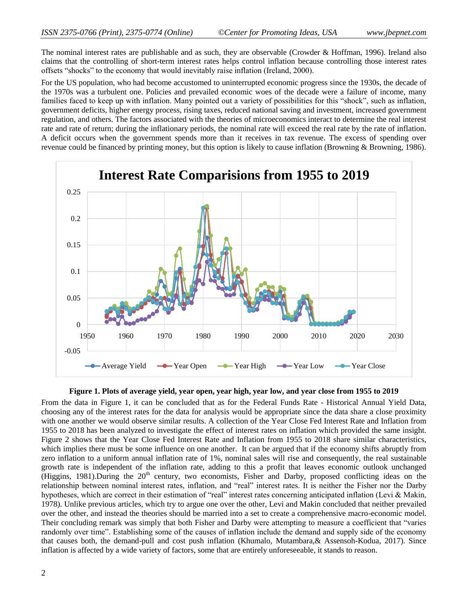The nominal interest rates are publishable and as such, they are observable (Crowder & Hoffman, 1996). Ireland also claims that the controlling of short-term interest rates helps control inflation because controlling those interest rates offsets "shocks" to the economy that would inevitably raise inflation (Ireland, 2000).

For the US population, who had become accustomed to uninterrupted economic progress since the 1930s, the decade of the 1970s was a turbulent one. Policies and prevailed economic woes of the decade were a failure of income, many families faced to keep up with inflation. Many pointed out a variety of possibilities for this "shock", such as inflation, government deficits, higher energy process, rising taxes, reduced national saving and investment, increased government regulation, and others. The factors associated with the theories of microeconomics interact to determine the real interest rate and rate of return; during the inflationary periods, the nominal rate will exceed the real rate by the rate of inflation. A deficit occurs when the government spends more than it receives in tax revenue. The excess of spending over revenue could be financed by printing money, but this option is likely to cause inflation (Browning & Browning, 1986).



#### **Figure 1. Plots of average yield, year open, year high, year low, and year close from 1955 to 2019**

From the data in Figure 1, it can be concluded that as for the Federal Funds Rate - Historical Annual Yield Data, choosing any of the interest rates for the data for analysis would be appropriate since the data share a close proximity with one another we would observe similar results. A collection of the Year Close Fed Interest Rate and Inflation from 1955 to 2018 has been analyzed to investigate the effect of interest rates on inflation which provided the same insight. Figure 2 shows that the Year Close Fed Interest Rate and Inflation from 1955 to 2018 share similar characteristics, which implies there must be some influence on one another. It can be argued that if the economy shifts abruptly from zero inflation to a uniform annual inflation rate of 1%, nominal sales will rise and consequently, the real sustainable growth rate is independent of the inflation rate, adding to this a profit that leaves economic outlook unchanged (Higgins, 1981).During the  $20<sup>th</sup>$  century, two economists, Fisher and Darby, proposed conflicting ideas on the relationship between nominal interest rates, inflation, and "real" interest rates. It is neither the Fisher nor the Darby hypotheses, which are correct in their estimation of "real" interest rates concerning anticipated inflation (Levi & Makin, 1978). Unlike previous articles, which try to argue one over the other, Levi and Makin concluded that neither prevailed over the other, and instead the theories should be married into a set to create a comprehensive macro-economic model. Their concluding remark was simply that both Fisher and Darby were attempting to measure a coefficient that "varies" randomly over time". Establishing some of the causes of inflation include the demand and supply side of the economy that causes both, the demand-pull and cost push inflation (Khumalo, Mutambara,& Assensoh-Kodua, 2017). Since inflation is affected by a wide variety of factors, some that are entirely unforeseeable, it stands to reason.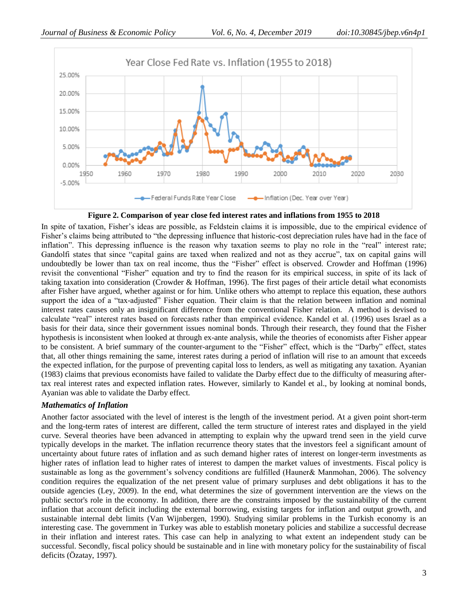

**Figure 2. Comparison of year close fed interest rates and inflations from 1955 to 2018**

In spite of taxation, Fisher's ideas are possible, as Feldstein claims it is impossible, due to the empirical evidence of Fisher's claims being attributed to "the depressing influence that historic-cost depreciation rules have had in the face of inflation". This depressing influence is the reason why taxation seems to play no role in the "real" interest rate; Gandolfi states that since "capital gains are taxed when realized and not as they accrue", tax on capital gains will undoubtedly be lower than tax on real income, thus the "Fisher" effect is observed. Crowder and Hoffman (1996) revisit the conventional "Fisher" equation and try to find the reason for its empirical success, in spite of its lack of taking taxation into consideration (Crowder & Hoffman, 1996). The first pages of their article detail what economists after Fisher have argued, whether against or for him. Unlike others who attempt to replace this equation, these authors support the idea of a "tax-adjusted" Fisher equation. Their claim is that the relation between inflation and nominal interest rates causes only an insignificant difference from the conventional Fisher relation. A method is devised to calculate "real" interest rates based on forecasts rather than empirical evidence. Kandel et al. (1996) uses Israel as a basis for their data, since their government issues nominal bonds. Through their research, they found that the Fisher hypothesis is inconsistent when looked at through ex-ante analysis, while the theories of economists after Fisher appear to be consistent. A brief summary of the counter-argument to the "Fisher" effect, which is the "Darby" effect, states that, all other things remaining the same, interest rates during a period of inflation will rise to an amount that exceeds the expected inflation, for the purpose of preventing capital loss to lenders, as well as mitigating any taxation. Ayanian (1983) claims that previous economists have failed to validate the Darby effect due to the difficulty of measuring aftertax real interest rates and expected inflation rates. However, similarly to Kandel et al., by looking at nominal bonds, Ayanian was able to validate the Darby effect.

## *Mathematics of Inflation*

Another factor associated with the level of interest is the length of the investment period. At a given point short-term and the long-term rates of interest are different, called the term structure of interest rates and displayed in the yield curve. Several theories have been advanced in attempting to explain why the upward trend seen in the yield curve typically develops in the market. The inflation recurrence theory states that the investors feel a significant amount of uncertainty about future rates of inflation and as such demand higher rates of interest on longer-term investments as higher rates of inflation lead to higher rates of interest to dampen the market values of investments. Fiscal policy is sustainable as long as the government's solvency conditions are fulfilled (Hauner& Manmohan, 2006). The solvency condition requires the equalization of the net present value of primary surpluses and debt obligations it has to the outside agencies (Ley, 2009). In the end, what determines the size of government intervention are the views on the public sector's role in the economy. In addition, there are the constraints imposed by the sustainability of the current inflation that account deficit including the external borrowing, existing targets for inflation and output growth, and sustainable internal debt limits (Van Wijnbergen, 1990). Studying similar problems in the Turkish economy is an interesting case. The government in Turkey was able to establish monetary policies and stabilize a successful decrease in their inflation and interest rates. This case can help in analyzing to what extent an independent study can be successful. Secondly, fiscal policy should be sustainable and in line with monetary policy for the sustainability of fiscal deficits (Özatay, 1997).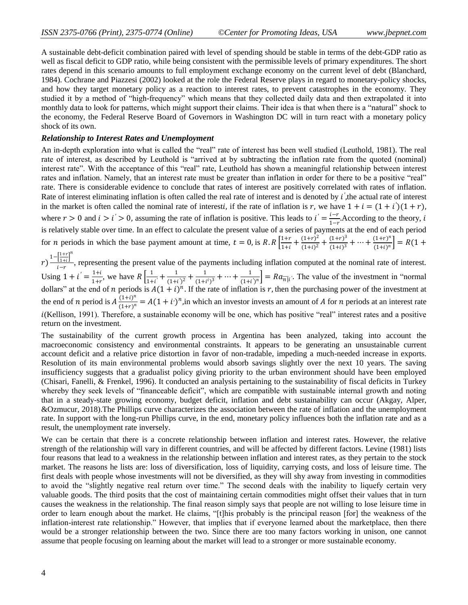A sustainable debt-deficit combination paired with level of spending should be stable in terms of the debt-GDP ratio as well as fiscal deficit to GDP ratio, while being consistent with the permissible levels of primary expenditures. The short rates depend in this scenario amounts to full employment exchange economy on the current level of debt (Blanchard, 1984). Cochrane and Piazzesi (2002) looked at the role the Federal Reserve plays in regard to monetary-policy shocks, and how they target monetary policy as a reaction to interest rates, to prevent catastrophes in the economy. They studied it by a method of "high-frequency" which means that they collected daily data and then extrapolated it into monthly data to look for patterns, which might support their claims. Their idea is that when there is a "natural" shock to the economy, the Federal Reserve Board of Governors in Washington DC will in turn react with a monetary policy shock of its own.

### *Relationship to Interest Rates and Unemployment*

An in-depth exploration into what is called the "real" rate of interest has been well studied (Leuthold, 1981). The real rate of interest, as described by Leuthold is "arrived at by subtracting the inflation rate from the quoted (nominal) interest rate". With the acceptance of this "real" rate, Leuthold has shown a meaningful relationship between interest rates and inflation. Namely, that an interest rate must be greater than inflation in order for there to be a positive "real" rate. There is considerable evidence to conclude that rates of interest are positively correlated with rates of inflation. Rate of interest eliminating inflation is often called the real rate of interest and is denoted by *i'*, the actual rate of interest in the market is often called the nominal rate of interesti, if the rate of inflation is r, we have  $1 + i = (1 + i')(1 + r)$ , where  $r > 0$  and  $i > i' > 0$ , assuming the rate of inflation is positive. This leads to  $i' = \frac{i - r}{i}$  $\frac{i-i}{1-r}$ . According to the theory, *i* is relatively stable over time. In an effect to calculate the present value of a series of payments at the end of each period for *n* periods in which the base payment amount at time,  $t = 0$ , is  $R \cdot R \left[ \frac{1+r}{1+r} \right]$  $\frac{1+r}{1+i} + \frac{(1+r)^2}{(1+i)^2}$  $\frac{(1+r)^2}{(1+i)^2} + \frac{(1+r)^3}{(1+i)^3}$  $\frac{(1+r)^3}{(1+i)^3} + \cdots + \frac{(1+r)^n}{(1+i)^n}$  $\left[\frac{(1+i)^n}{(1+i)^n}\right] = R(1+i)$ 

 $r)^{\frac{1-\left[\frac{1+r}{1+i}\right]}{r}}$  $\left[\frac{1+r}{1+i}\right]^n$  $\frac{11+iJ}{i-r}$ , representing the present value of the payments including inflation computed at the nominal rate of interest. Using  $1 + i' = \frac{1+i}{1+i}$  $\frac{1+i}{1+r}$ , we have  $R\left[\frac{1}{1+r}\right]$  $\frac{1}{1+i'} + \frac{1}{(1+i)}$  $\frac{1}{(1+i^{'})^2} + \frac{1}{(1+i^{'})^2}$  $\frac{1}{(1+i^i)^3} + \cdots + \frac{1}{(1+i^i)^5}$  $\frac{1}{(1+i)^n}$  =  $Ra_{\overline{n}|i}$ . The value of the investment in "normal" dollars" at the end of *n* periods is  $A(1 + i)^n$ . If the rate of inflation is *r*, then the purchasing power of the investment at the end of *n* period is  $A\frac{(1+i)}{(1+i)}$  $\frac{(1+t)^n}{(1+r)^n} = A(1+i)^n$ , in which an investor invests an amount of A for *n* periods at an interest rate  $i$ (Kellison, 1991). Therefore, a sustainable economy will be one, which has positive "real" interest rates and a positive return on the investment.

The sustainability of the current growth process in Argentina has been analyzed, taking into account the macroeconomic consistency and environmental constraints. It appears to be generating an unsustainable current account deficit and a relative price distortion in favor of non-tradable, impeding a much-needed increase in exports. Resolution of its main environmental problems would absorb savings slightly over the next 10 years. The saving insufficiency suggests that a gradualist policy giving priority to the urban environment should have been employed (Chisari, Fanelli, & Frenkel, 1996). It conducted an analysis pertaining to the sustainability of fiscal deficits in Turkey whereby they seek levels of "financeable deficit", which are compatible with sustainable internal growth and noting that in a steady-state growing economy, budget deficit, inflation and debt sustainability can occur (Akgay, Alper, &Ozmucur, 2018).The Phillips curve characterizes the association between the rate of inflation and the unemployment rate. In support with the long-run Phillips curve, in the end, monetary policy influences both the inflation rate and as a result, the unemployment rate inversely.

We can be certain that there is a concrete relationship between inflation and interest rates. However, the relative strength of the relationship will vary in different countries, and will be affected by different factors. Levine (1981) lists four reasons that lead to a weakness in the relationship between inflation and interest rates, as they pertain to the stock market. The reasons he lists are: loss of diversification, loss of liquidity, carrying costs, and loss of leisure time. The first deals with people whose investments will not be diversified, as they will shy away from investing in commodities to avoid the "slightly negative real return over time." The second deals with the inability to liquefy certain very valuable goods. The third posits that the cost of maintaining certain commodities might offset their values that in turn causes the weakness in the relationship. The final reason simply says that people are not willing to lose leisure time in order to learn enough about the market. He claims, "[t]his probably is the principal reason [for] the weakness of the inflation-interest rate relationship." However, that implies that if everyone learned about the marketplace, then there would be a stronger relationship between the two. Since there are too many factors working in unison, one cannot assume that people focusing on learning about the market will lead to a stronger or more sustainable economy.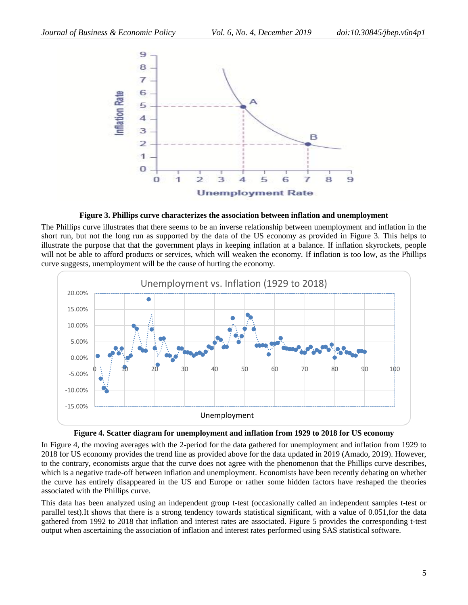

**Figure 3. Phillips curve characterizes the association between inflation and unemployment**

The Phillips curve illustrates that there seems to be an inverse relationship between unemployment and inflation in the short run, but not the long run as supported by the data of the US economy as provided in Figure 3. This helps to illustrate the purpose that that the government plays in keeping inflation at a balance. If inflation skyrockets, people will not be able to afford products or services, which will weaken the economy. If inflation is too low, as the Phillips curve suggests, unemployment will be the cause of hurting the economy.





In Figure 4, the moving averages with the 2-period for the data gathered for unemployment and inflation from 1929 to 2018 for US economy provides the trend line as provided above for the data updated in 2019 (Amado, 2019). However, to the contrary, economists argue that the curve does not agree with the phenomenon that the Phillips curve describes, which is a negative trade-off between inflation and unemployment. Economists have been recently debating on whether the curve has entirely disappeared in the US and Europe or rather some hidden factors have reshaped the theories associated with the Phillips curve.

This data has been analyzed using an independent group t-test (occasionally called an independent samples t-test or parallel test).It shows that there is a strong tendency towards statistical significant, with a value of 0.051,for the data gathered from 1992 to 2018 that inflation and interest rates are associated. Figure 5 provides the corresponding t-test output when ascertaining the association of inflation and interest rates performed using SAS statistical software.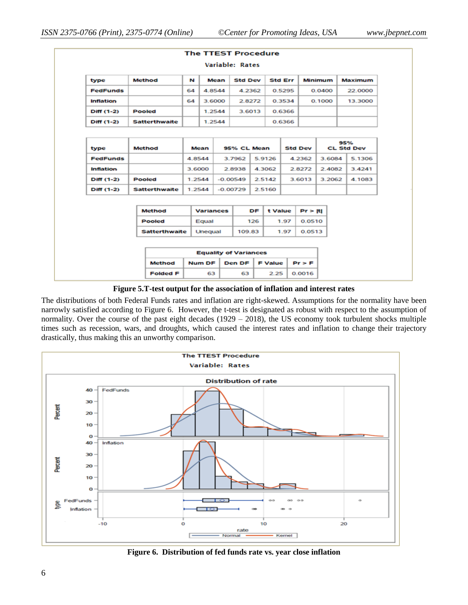| <b>The TTEST Procedure</b> |                              |         |                  |      |                |    |                |                |                |                |                          |                |
|----------------------------|------------------------------|---------|------------------|------|----------------|----|----------------|----------------|----------------|----------------|--------------------------|----------------|
| Variable: Rates            |                              |         |                  |      |                |    |                |                |                |                |                          |                |
| type                       | <b>Method</b>                | N       |                  | Mean | <b>Std Dev</b> |    |                | <b>Std Err</b> |                | <b>Minimum</b> |                          | <b>Maximum</b> |
| <b>FedFunds</b>            |                              | 64      | 4.8544           |      | 4.2362         |    |                | 0.5295         |                | 0.0400         |                          | 22.0000        |
| Inflation                  |                              | 64      | 3.6000           |      | 2.8272         |    |                | 0.3534         |                | 0.1000         |                          | 13.3000        |
| Diff (1-2)                 | <b>Pooled</b>                |         | 1.2544           |      | 3.6013         |    |                | 0.6366         |                |                |                          |                |
| Diff (1-2)                 | <b>Satterthwaite</b>         |         | 1.2544           |      |                |    |                | 0.6366         |                |                |                          |                |
|                            |                              |         |                  |      |                |    |                |                |                |                |                          |                |
| type                       | <b>Method</b>                |         | Mean             |      | 95% CL Mean    |    |                |                | <b>Std Dev</b> |                | 95%<br><b>CL Std Dev</b> |                |
| <b>FedFunds</b>            |                              |         | 4.8544           |      | 3.7962         |    | 5.9126         |                | 4.2362         | 3.6084         |                          | 5.1306         |
| <b>Inflation</b>           |                              | 3.6000  |                  |      | 2.8938         |    | 4.3062         | 2.8272         |                | 2.4082         |                          | 3.4241         |
| Diff (1-2)                 | <b>Pooled</b>                | 1.2544  |                  |      | $-0.00549$     |    | 2.5142         | 3.6013         |                | 3.2062         |                          | 4.1083         |
| Diff (1-2)                 | <b>Satterthwaite</b>         |         | 1.2544           |      | $-0.00729$     |    | 2.5160         |                |                |                |                          |                |
|                            |                              |         |                  |      |                |    |                |                |                |                |                          |                |
|                            | <b>Method</b>                |         | <b>Variances</b> |      |                | DF | t Value        |                | Pr >  t        |                |                          |                |
|                            | <b>Pooled</b>                | Equal   |                  |      | 126            |    | 1.97           |                | 0.0510         |                |                          |                |
|                            | <b>Satterthwaite</b>         | Unequal |                  |      | 109.83         |    | 1.97           |                | 0.0513         |                |                          |                |
|                            |                              |         |                  |      |                |    |                |                |                |                |                          |                |
|                            | <b>Equality of Variances</b> |         |                  |      |                |    |                |                |                |                |                          |                |
|                            | <b>Method</b>                |         | <b>Num DF</b>    |      | <b>Den DF</b>  |    | <b>F Value</b> |                | $Pr$ > $F$     |                |                          |                |
|                            | <b>Folded F</b>              |         | 63               |      | 63             |    | 2.25           |                | 0.0016         |                |                          |                |

#### **Figure 5.T-test output for the association of inflation and interest rates**

The distributions of both Federal Funds rates and inflation are right-skewed. Assumptions for the normality have been narrowly satisfied according to Figure 6. However, the t-test is designated as robust with respect to the assumption of normality. Over the course of the past eight decades (1929 – 2018), the US economy took turbulent shocks multiple times such as recession, wars, and droughts, which caused the interest rates and inflation to change their trajectory drastically, thus making this an unworthy comparison.



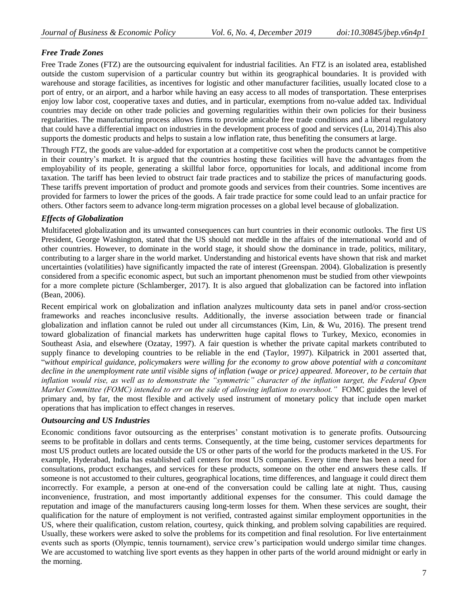## *Free Trade Zones*

Free Trade Zones (FTZ) are the outsourcing equivalent for industrial facilities. An FTZ is an isolated area, established outside the custom supervision of a particular country but within its geographical boundaries. It is provided with warehouse and storage facilities, as incentives for logistic and other manufacturer facilities, usually located close to a port of entry, or an airport, and a harbor while having an easy access to all modes of transportation. These enterprises enjoy low labor cost, cooperative taxes and duties, and in particular, exemptions from no-value added tax. Individual countries may decide on other trade policies and governing regularities within their own policies for their business regularities. The manufacturing process allows firms to provide amicable free trade conditions and a liberal regulatory that could have a differential impact on industries in the development process of good and services (Lu, 2014).This also supports the domestic products and helps to sustain a low inflation rate, thus benefiting the consumers at large.

Through FTZ, the goods are value-added for exportation at a competitive cost when the products cannot be competitive in their country's market. It is argued that the countries hosting these facilities will have the advantages from the employability of its people, generating a skillful labor force, opportunities for locals, and additional income from taxation. The tariff has been levied to obstruct fair trade practices and to stabilize the prices of manufacturing goods. These tariffs prevent importation of product and promote goods and services from their countries. Some incentives are provided for farmers to lower the prices of the goods. A fair trade practice for some could lead to an unfair practice for others. Other factors seem to advance long‐term migration processes on a global level because of globalization.

### *Effects of Globalization*

Multifaceted globalization and its unwanted consequences can hurt countries in their economic outlooks. The first US President, George Washington, stated that the US should not meddle in the affairs of the international world and of other countries. However, to dominate in the world stage, it should show the dominance in trade, politics, military, contributing to a larger share in the world market. Understanding and historical events have shown that risk and market uncertainties (volatilities) have significantly impacted the rate of interest (Greenspan. 2004). Globalization is presently considered from a specific economic aspect, but such an important phenomenon must be studied from other viewpoints for a more complete picture (Schlamberger, 2017). It is also argued that globalization can be factored into inflation (Bean, 2006).

Recent empirical work on globalization and inflation analyzes multicounty data sets in panel and/or cross-section frameworks and reaches inconclusive results. Additionally, the inverse association between trade or financial globalization and inflation cannot be ruled out under all circumstances (Kim, Lin, & Wu, 2016). The present trend toward globalization of financial markets has underwritten huge capital flows to Turkey, Mexico, economies in Southeast Asia, and elsewhere (Ozatay, 1997). A fair question is whether the private capital markets contributed to supply finance to developing countries to be reliable in the end (Taylor, 1997). Kilpatrick in 2001 asserted that, ―*without empirical guidance, policymakers were willing for the economy to grow above potential with a concomitant decline in the unemployment rate until visible signs of inflation (wage or price) appeared. Moreover, to be certain that inflation would rise, as well as to demonstrate the "symmetric" character of the inflation target, the Federal Open Market Committee (FOMC) intended to err on the side of allowing inflation to overshoot."* FOMC guides the level of primary and, by far, the most flexible and actively used instrument of monetary policy that include open market operations that has implication to effect changes in reserves.

### *Outsourcing and US Industries*

Economic conditions favor outsourcing as the enterprises' constant motivation is to generate profits. Outsourcing seems to be profitable in dollars and cents terms. Consequently, at the time being, customer services departments for most US product outlets are located outside the US or other parts of the world for the products marketed in the US. For example, Hyderabad, India has established call centers for most US companies. Every time there has been a need for consultations, product exchanges, and services for these products, someone on the other end answers these calls. If someone is not accustomed to their cultures, geographical locations, time differences, and language it could direct them incorrectly. For example, a person at one-end of the conversation could be calling late at night. Thus, causing inconvenience, frustration, and most importantly additional expenses for the consumer. This could damage the reputation and image of the manufacturers causing long-term losses for them. When these services are sought, their qualification for the nature of employment is not verified, contrasted against similar employment opportunities in the US, where their qualification, custom relation, courtesy, quick thinking, and problem solving capabilities are required. Usually, these workers were asked to solve the problems for its competition and final resolution. For live entertainment events such as sports (Olympic, tennis tournament), service crew's participation would undergo similar time changes. We are accustomed to watching live sport events as they happen in other parts of the world around midnight or early in the morning.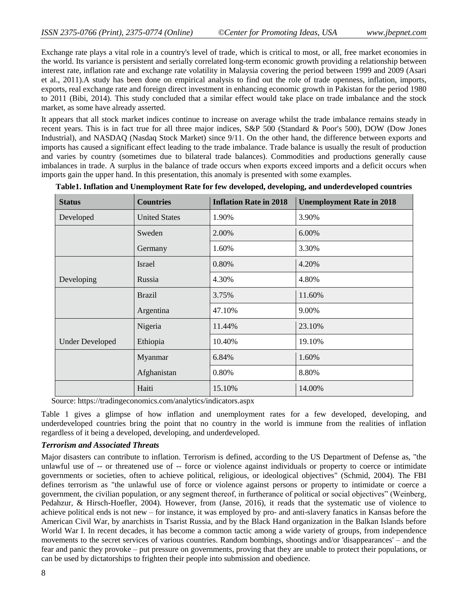Exchange rate plays a vital role in a country's level of trade, which is critical to most, or all, free market economies in the world. Its variance is persistent and serially correlated long-term economic growth providing a relationship between interest rate, inflation rate and exchange rate volatility in Malaysia covering the period between 1999 and 2009 (Asari et al., 2011).A study has been done on empirical analysis to find out the role of trade openness, inflation, imports, exports, real exchange rate and foreign direct investment in enhancing economic growth in Pakistan for the period 1980 to 2011 (Bibi, 2014). This study concluded that a similar effect would take place on trade imbalance and the stock market, as some have already asserted.

It appears that all stock market indices continue to increase on average whilst the trade imbalance remains steady in recent years. This is in fact true for all three major indices, S&P 500 (Standard & Poor's 500), DOW (Dow Jones Industrial), and NASDAQ (Nasdaq Stock Market) since 9/11. On the other hand, the difference between exports and imports has caused a significant effect leading to the trade imbalance. Trade balance is usually the result of production and varies by country (sometimes due to bilateral trade balances). Commodities and productions generally cause imbalances in trade. A surplus in the balance of trade occurs when exports exceed imports and a deficit occurs when imports gain the upper hand. In this presentation, this anomaly is presented with some examples.

| <b>Status</b>          | <b>Countries</b>     | <b>Inflation Rate in 2018</b> | <b>Unemployment Rate in 2018</b> |
|------------------------|----------------------|-------------------------------|----------------------------------|
| Developed              | <b>United States</b> | 1.90%                         | 3.90%                            |
|                        | Sweden               | 2.00%                         | 6.00%                            |
|                        | Germany              | 1.60%                         | 3.30%                            |
|                        | Israel               | 0.80%                         | 4.20%                            |
| Developing             | Russia               | 4.30%                         | 4.80%                            |
|                        | <b>Brazil</b>        | 3.75%                         | 11.60%                           |
|                        | Argentina            | 47.10%                        | 9.00%                            |
|                        | Nigeria              | 11.44%                        | 23.10%                           |
| <b>Under Developed</b> | Ethiopia             | 10.40%                        | 19.10%                           |
|                        | Myanmar              | 6.84%                         | 1.60%                            |
|                        | Afghanistan          | 0.80%                         | 8.80%                            |
|                        | Haiti                | 15.10%                        | 14.00%                           |

**Table1. Inflation and Unemployment Rate for few developed, developing, and underdeveloped countries**

Source: <https://tradingeconomics.com/>analytics/indicators.aspx

Table 1 gives a glimpse of how inflation and unemployment rates for a few developed, developing, and underdeveloped countries bring the point that no country in the world is immune from the realities of inflation regardless of it being a developed, developing, and underdeveloped.

### *Terrorism and Associated Threats*

Major disasters can contribute to inflation. Terrorism is defined, according to the US Department of Defense as, "the unlawful use of -- or threatened use of -- force or violence against individuals or property to coerce or intimidate governments or societies, often to achieve political, religious, or ideological objectives" (Schmid, 2004). The FBI defines terrorism as "the unlawful use of force or violence against persons or property to intimidate or coerce a government, the civilian population, or any segment thereof, in furtherance of political or social objectives" (Weinberg, Pedahzur, & Hirsch-Hoefler, 2004). However, from (Janse, 2016), it reads that the systematic use of violence to achieve political ends is not new – for instance, it was employed by pro- and anti-slavery fanatics in Kansas before the American Civil War, by anarchists in Tsarist Russia, and by the Black Hand organization in the Balkan Islands before World War I. In recent decades, it has become a common tactic among a wide variety of groups, from independence movements to the secret services of various countries. Random bombings, shootings and/or 'disappearances' – and the fear and panic they provoke – put pressure on governments, proving that they are unable to protect their populations, or can be used by dictatorships to frighten their people into submission and obedience.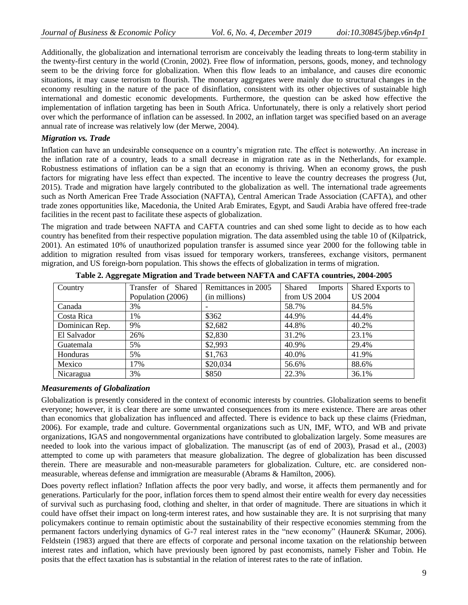Additionally, the globalization and international terrorism are conceivably the leading threats to long-term stability in the twenty-first century in the world (Cronin, 2002). Free flow of information, persons, goods, money, and technology seem to be the driving force for globalization. When this flow leads to an imbalance, and causes dire economic situations, it may cause terrorism to flourish. The monetary aggregates were mainly due to structural changes in the economy resulting in the nature of the pace of disinflation, consistent with its other objectives of sustainable high international and domestic economic developments. Furthermore, the question can be asked how effective the implementation of inflation targeting has been in South Africa. Unfortunately, there is only a relatively short period over which the performance of inflation can be assessed. In 2002, an inflation target was specified based on an average annual rate of increase was relatively low (der Merwe, 2004).

#### *Migration vs. Trade*

Inflation can have an undesirable consequence on a country's migration rate. The effect is noteworthy. An increase in the inflation rate of a country, leads to a small decrease in migration rate as in the Netherlands, for example. Robustness estimations of inflation can be a sign that an economy is thriving. When an economy grows, the push factors for migrating have less effect than expected. The incentive to leave the country decreases the progress (Jut, 2015). Trade and migration have largely contributed to the globalization as well. The international trade agreements such as North American Free Trade Association (NAFTA), Central American Trade Association (CAFTA), and other trade zones opportunities like, Macedonia, the United Arab Emirates, Egypt, and Saudi Arabia have offered free-trade facilities in the recent past to facilitate these aspects of globalization.

The migration and trade between NAFTA and CAFTA countries and can shed some light to decide as to how each country has benefited from their respective population migration. The data assembled using the table 10 of (Kilpatrick, 2001). An estimated 10% of unauthorized population transfer is assumed since year 2000 for the following table in addition to migration resulted from visas issued for temporary workers, transferees, exchange visitors, permanent migration, and US foreign-born population. This shows the effects of globalization in terms of migration.

| Country        | Transfer of Shared | Remittances in 2005 | Shared<br><b>Imports</b> | Shared Exports to |
|----------------|--------------------|---------------------|--------------------------|-------------------|
|                | Population (2006)  | (in millions)       | from US 2004             | <b>US 2004</b>    |
| Canada         | 3%                 |                     | 58.7%                    | 84.5%             |
| Costa Rica     | 1%                 | \$362               | 44.9%                    | 44.4%             |
| Dominican Rep. | 9%                 | \$2,682             | 44.8%                    | 40.2%             |
| El Salvador    | 26%                | \$2,830             | 31.2%                    | 23.1%             |
| Guatemala      | 5%                 | \$2,993             | 40.9%                    | 29.4%             |
| Honduras       | 5%                 | \$1,763             | 40.0%                    | 41.9%             |
| Mexico         | 17%                | \$20,034            | 56.6%                    | 88.6%             |
| Nicaragua      | 3%                 | \$850               | 22.3%                    | 36.1%             |

**Table 2. Aggregate Migration and Trade between NAFTA and CAFTA countries, 2004-2005**

#### *Measurements of Globalization*

Globalization is presently considered in the context of economic interests by countries. Globalization seems to benefit everyone; however, it is clear there are some unwanted consequences from its mere existence. There are areas other than economics that globalization has influenced and affected. There is evidence to back up these claims (Friedman, 2006). For example, trade and culture. Governmental organizations such as UN, IMF, WTO, and WB and private organizations, IGAS and nongovernmental organizations have contributed to globalization largely. Some measures are needed to look into the various impact of globalization. The manuscript (as of end of 2003), Prasad et al., (2003) attempted to come up with parameters that measure globalization. The degree of globalization has been discussed therein. There are measurable and non-measurable parameters for globalization. Culture, etc. are considered nonmeasurable, whereas defense and immigration are measurable (Abrams & Hamilton, 2006).

Does poverty reflect inflation? Inflation affects the poor very badly, and worse, it affects them permanently and for generations. Particularly for the poor, inflation forces them to spend almost their entire wealth for every day necessities of survival such as purchasing food, clothing and shelter, in that order of magnitude. There are situations in which it could have offset their impact on long-term interest rates, and how sustainable they are. It is not surprising that many policymakers continue to remain optimistic about the sustainability of their respective economies stemming from the permanent factors underlying dynamics of G-7 real interest rates in the "new economy" (Hauner& SKumar, 2006). Feldstein (1983) argued that there are effects of corporate and personal income taxation on the relationship between interest rates and inflation, which have previously been ignored by past economists, namely Fisher and Tobin. He posits that the effect taxation has is substantial in the relation of interest rates to the rate of inflation.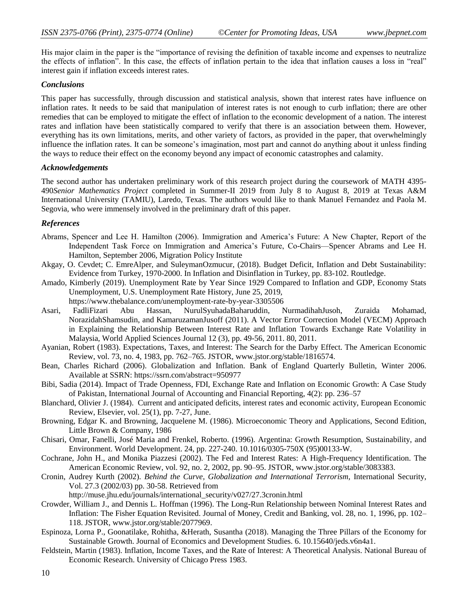His major claim in the paper is the "importance of revising the definition of taxable income and expenses to neutralize the effects of inflation". In this case, the effects of inflation pertain to the idea that inflation causes a loss in "real" interest gain if inflation exceeds interest rates.

#### *Conclusions*

This paper has successfully, through discussion and statistical analysis, shown that interest rates have influence on inflation rates. It needs to be said that manipulation of interest rates is not enough to curb inflation; there are other remedies that can be employed to mitigate the effect of inflation to the economic development of a nation. The interest rates and inflation have been statistically compared to verify that there is an association between them. However, everything has its own limitations, merits, and other variety of factors, as provided in the paper, that overwhelmingly influence the inflation rates. It can be someone's imagination, most part and cannot do anything about it unless finding the ways to reduce their effect on the economy beyond any impact of economic catastrophes and calamity.

### *Acknowledgements*

The second author has undertaken preliminary work of this research project during the coursework of MATH 4395- 490*Senior Mathematics Project* completed in Summer-II 2019 from July 8 to August 8, 2019 at Texas A&M International University (TAMIU), Laredo, Texas. The authors would like to thank Manuel Fernandez and Paola M. Segovia, who were immensely involved in the preliminary draft of this paper.

### *References*

- Abrams, Spencer and Lee H. Hamilton (2006). Immigration and America's Future: A New Chapter, Report of the Independent Task Force on Immigration and America's Future, Co-Chairs—Spencer Abrams and Lee H. Hamilton, September 2006, Migration Policy Institute
- Akgay, O. Cevdet; C. EmreAlper, and SuleymanOzmucur, (2018). Budget Deficit, Inflation and Debt Sustainability: Evidence from Turkey, 1970-2000. In Inflation and Disinflation in Turkey, pp. 83-102. Routledge.
- Amado, Kimberly (2019). Unemployment Rate by Year Since 1929 Compared to Inflation and GDP, Economy Stats Unemployment, U.S. Unemployment Rate History, June 25, 2019, <https://www.thebalance.com/unemployment-rate-by-year-3305506>
- Asari, FadliFizari Abu Hassan, NurulSyuhadaBaharuddin, NurmadihahJusoh, Zuraida Mohamad, NorazidahShamsudin, and KamaruzamanJusoff (2011). A Vector Error Correction Model (VECM) Approach in Explaining the Relationship Between Interest Rate and Inflation Towards Exchange Rate Volatility in Malaysia, World Applied Sciences Journal 12 (3), pp. 49-56, 2011. 80, 2011.
- Ayanian, Robert (1983). Expectations, Taxes, and Interest: The Search for the Darby Effect. The American Economic Review, vol. 73, no. 4, 1983, pp. 762–765. JSTOR, [www.jstor.org/stable/1816574.](http://www.jstor.org/stable/1816574)
- Bean, Charles Richard (2006). Globalization and Inflation. Bank of England Quarterly Bulletin, Winter 2006. Available at SSRN:<https://ssrn.com/abstract=950977>
- Bibi, Sadia (2014). Impact of Trade Openness, FDI, Exchange Rate and Inflation on Economic Growth: A Case Study of Pakistan, International Journal of Accounting and Financial Reporting, 4(2): pp. 236–57
- Blanchard, Olivier J. (1984). Current and anticipated deficits, interest rates and economic activity, European Economic Review, Elsevier, vol. 25(1), pp. 7-27, June.
- Browning, Edgar K. and Browning, Jacquelene M. (1986). Microeconomic Theory and Applications, Second Edition, Little Brown & Company, 1986
- Chisari, Omar, Fanelli, José Maria and Frenkel, Roberto. (1996). Argentina: Growth Resumption, Sustainability, and Environment. World Development. 24, pp. 227-240. 10.1016/0305-750X (95)00133-W.
- Cochrane, John H., and Monika Piazzesi (2002). The Fed and Interest Rates: A High-Frequency Identification. The American Economic Review, vol. 92, no. 2, 2002, pp. 90–95. JSTOR, [www.jstor.org/stable/3083383.](http://www.jstor.org/stable/3083383)
- Cronin, Audrey Kurth (2002). *Behind the Curve, Globalization and International Terrorism,* International Security, Vol. 27.3 (2002/03) pp. 30-58. Retrieved from

http://muse.jhu.edu/journals/international\_security/v027/27.3cronin.html

- Crowder, William J., and Dennis L. Hoffman (1996). The Long-Run Relationship between Nominal Interest Rates and Inflation: The Fisher Equation Revisited. Journal of Money, Credit and Banking, vol. 28, no. 1, 1996, pp. 102– 118. JSTOR, [www.jstor.org/stable/2077969.](http://www.jstor.org/stable/2077969)
- Espinoza, Lorna P., Goonatilake, Rohitha, &Herath, Susantha (2018). Managing the Three Pillars of the Economy for Sustainable Growth. Journal of Economics and Development Studies. 6. 10.15640/jeds.v6n4a1.
- Feldstein, Martin (1983). Inflation, Income Taxes, and the Rate of Interest: A Theoretical Analysis. National Bureau of Economic Research. University of Chicago Press 1983.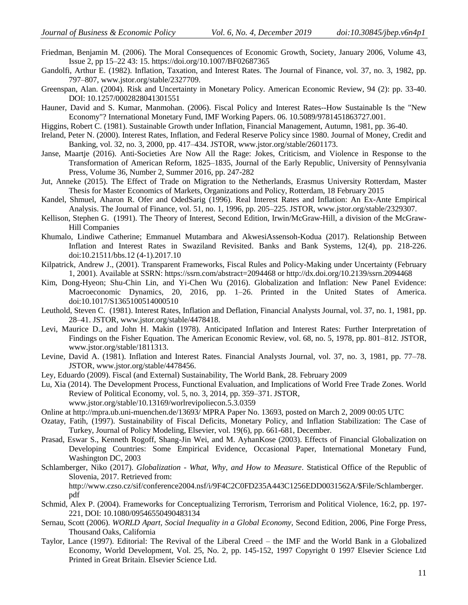- Friedman, Benjamin M. (2006). The Moral Consequences of Economic Growth, Society, January 2006, Volume 43, Issue 2, pp 15–22 43: 15. https://doi.org/10.1007/BF02687365
- Gandolfi, Arthur E. (1982). Inflation, Taxation, and Interest Rates. The Journal of Finance, vol. 37, no. 3, 1982, pp. 797–807, [www.jstor.org/stable/2327709.](http://www.jstor.org/stable/2327709)
- Greenspan, Alan. (2004). Risk and Uncertainty in Monetary Policy. American Economic Review, 94 (2): pp. 33-40. DOI: 10.1257/0002828041301551
- Hauner, David and S. Kumar, Manmohan. (2006). Fiscal Policy and Interest Rates--How Sustainable Is the "New Economy"? International Monetary Fund, IMF Working Papers. 06. 10.5089/9781451863727.001.
- Higgins, Robert C. (1981). Sustainable Growth under Inflation, Financial Management, Autumn, 1981, pp. 36-40.
- Ireland, Peter N. (2000). Interest Rates, Inflation, and Federal Reserve Policy since 1980. Journal of Money, Credit and Banking, vol. 32, no. 3, 2000, pp. 417–434. JSTOR[, www.jstor.org/stable/2601173.](http://www.jstor.org/stable/2601173)
- Janse, Maartje (2016). Anti-Societies Are Now All the Rage: Jokes, Criticism, and Violence in Response to the Transformation of American Reform, 1825–1835, Journal of the Early Republic, University of Pennsylvania Press, Volume 36, Number 2, Summer 2016, pp. 247-282
- Jut, Anneke (2015). The Effect of Trade on Migration to the Netherlands, Erasmus University Rotterdam, Master Thesis for Master Economics of Markets, Organizations and Policy, Rotterdam, 18 February 2015
- Kandel, Shmuel, Aharon R. Ofer and OdedSarig (1996). Real Interest Rates and Inflation: An Ex-Ante Empirical Analysis. The Journal of Finance, vol. 51, no. 1, 1996, pp. 205–225. JSTOR, [www.jstor.org/stable/2329307.](http://www.jstor.org/stable/2329307)
- Kellison, Stephen G. (1991). The Theory of Interest, Second Edition, Irwin/McGraw-Hill, a division of the McGraw-Hill Companies
- Khumalo, Lindiwe Catherine; Emmanuel Mutambara and AkwesiAssensoh-Kodua (2017). Relationship Between Inflation and Interest Rates in Swaziland Revisited. Banks and Bank Systems, 12(4), pp. 218-226. doi:10.21511/bbs.12 (4-1).2017.10
- Kilpatrick, Andrew J., (2001). Transparent Frameworks, Fiscal Rules and Policy-Making under Uncertainty (February 1, 2001). Available at SSRN: https://ssrn.com/abstract=2094468 o[r http://dx.doi.org/10.2139/ssrn.2094468](http://dx.doi.org/10.2139/ssrn.2094468)
- Kim, Dong-Hyeon; Shu-Chin Lin, and Yi-Chen Wu (2016). Globalization and Inflation: New Panel Evidence: Macroeconomic Dynamics, 20, 2016, pp. 1–26. Printed in the United States of America. doi:10.1017/S1365100514000510
- Leuthold, Steven C. (1981). Interest Rates, Inflation and Deflation, Financial Analysts Journal, vol. 37, no. 1, 1981, pp. 28–41. JSTOR[, www.jstor.org/stable/4478418.](http://www.jstor.org/stable/4478418)
- Levi, Maurice D., and John H. Makin (1978). Anticipated Inflation and Interest Rates: Further Interpretation of Findings on the Fisher Equation. The American Economic Review, vol. 68, no. 5, 1978, pp. 801–812. JSTOR, [www.jstor.org/stable/1811313.](http://www.jstor.org/stable/1811313)
- Levine, David A. (1981). Inflation and Interest Rates. Financial Analysts Journal, vol. 37, no. 3, 1981, pp. 77–78. JSTOR, [www.jstor.org/stable/4478456.](http://www.jstor.org/stable/4478456)
- Ley, Eduardo (2009). Fiscal (and External) Sustainability, The World Bank, 28. February 2009
- Lu, Xia (2014). The Development Process, Functional Evaluation, and Implications of World Free Trade Zones. World Review of Political Economy, vol. 5, no. 3, 2014, pp. 359–371. JSTOR, [www.jstor.org/stable/10.13169/worlrevipoliecon.5.3.0359](http://www.jstor.org/stable/10.13169/worlrevipoliecon.5.3.0359)
- Online at http://mpra.ub.uni-muenchen.de/13693/ MPRA Paper No. 13693, posted on March 2, 2009 00:05 UTC
- Ozatay, Fatih, (1997). Sustainability of Fiscal Deficits, Monetary Policy, and Inflation Stabilization: The Case of Turkey, Journal of Policy Modeling, Elsevier, vol. 19(6), pp. 661-681, December.
- Prasad, Eswar S., Kenneth Rogoff, Shang-Jin Wei, and M. AyhanKose (2003). Effects of Financial Globalization on Developing Countries: Some Empirical Evidence, Occasional Paper, International Monetary Fund, Washington DC, 2003
- Schlamberger, Niko (2017). *Globalization - What, Why, and How to Measure*. Statistical Office of the Republic of Slovenia, 2017. Retrieved from: http://www.czso.cz/sif/conference2004.nsf/i/9F4C2C0FD235A443C1256EDD0031562A/\$File/Schlamberger.

pdf

- Schmid, Alex P. (2004). Frameworks for Conceptualizing Terrorism, Terrorism and Political Violence, 16:2, pp. 197- 221, DOI: 10.1080/09546550490483134
- Sernau, Scott (2006). *WORLD Apart, Social Inequality in a Global Economy,* Second Edition, 2006, Pine Forge Press, Thousand Oaks, California
- Taylor, Lance (1997). Editorial: The Revival of the Liberal Creed the IMF and the World Bank in a Globalized Economy, World Development, Vol. 25, No. 2, pp. 145-152, 1997 Copyright 0 1997 Elsevier Science Ltd Printed in Great Britain. Elsevier Science Ltd.